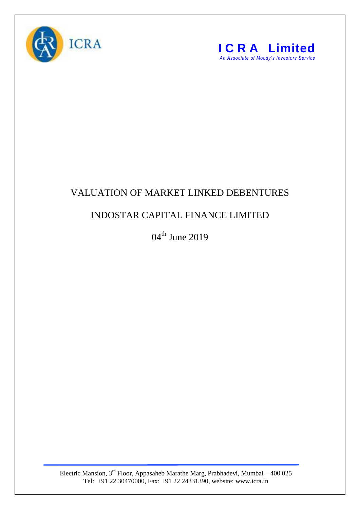



## VALUATION OF MARKET LINKED DEBENTURES

## INDOSTAR CAPITAL FINANCE LIMITED

04<sup>th</sup> June 2019

Electric Mansion,  $3<sup>rd</sup>$  Floor, Appasaheb Marathe Marg, Prabhadevi, Mumbai – 400 025 Tel: +91 22 30470000, Fax: +91 22 24331390, website: www.icra.in